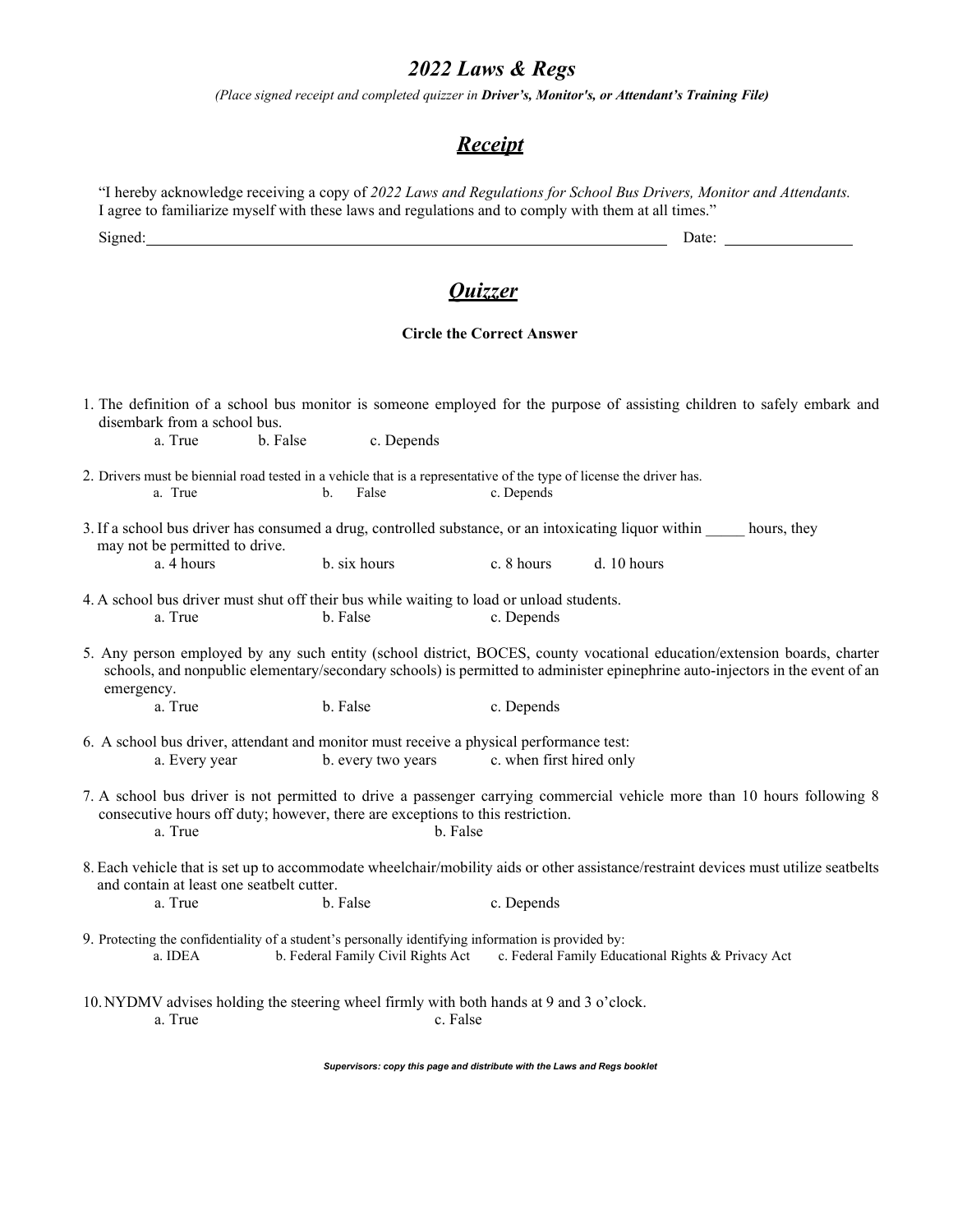## *2022 Laws & Regs*

*(Place signed receipt and completed quizzer in Driver's, Monitor's, or Attendant's Training File)*

## *Receipt*

|                                                                                                                                                          |          |                                                                                            |                                  | I agree to familiarize myself with these laws and regulations and to comply with them at all times."                                                                                                                                                      |  |
|----------------------------------------------------------------------------------------------------------------------------------------------------------|----------|--------------------------------------------------------------------------------------------|----------------------------------|-----------------------------------------------------------------------------------------------------------------------------------------------------------------------------------------------------------------------------------------------------------|--|
|                                                                                                                                                          |          |                                                                                            |                                  | Date:                                                                                                                                                                                                                                                     |  |
|                                                                                                                                                          |          |                                                                                            | <u>Ouizzer</u>                   |                                                                                                                                                                                                                                                           |  |
|                                                                                                                                                          |          |                                                                                            |                                  |                                                                                                                                                                                                                                                           |  |
|                                                                                                                                                          |          |                                                                                            | <b>Circle the Correct Answer</b> |                                                                                                                                                                                                                                                           |  |
| 1. The definition of a school bus monitor is someone employed for the purpose of assisting children to safely embark and<br>disembark from a school bus. |          |                                                                                            |                                  |                                                                                                                                                                                                                                                           |  |
| a. True                                                                                                                                                  | b. False | c. Depends                                                                                 |                                  |                                                                                                                                                                                                                                                           |  |
| 2. Drivers must be biennial road tested in a vehicle that is a representative of the type of license the driver has.<br>a. True                          | b.       | False                                                                                      | c. Depends                       |                                                                                                                                                                                                                                                           |  |
|                                                                                                                                                          |          |                                                                                            |                                  | 3. If a school bus driver has consumed a drug, controlled substance, or an intoxicating liquor within<br>hours, they                                                                                                                                      |  |
| may not be permitted to drive.<br>a. 4 hours                                                                                                             |          | b. six hours                                                                               | c. 8 hours                       | d. 10 hours                                                                                                                                                                                                                                               |  |
| 4. A school bus driver must shut off their bus while waiting to load or unload students.<br>a. True                                                      |          | b. False                                                                                   | c. Depends                       |                                                                                                                                                                                                                                                           |  |
| emergency.                                                                                                                                               |          |                                                                                            |                                  | 5. Any person employed by any such entity (school district, BOCES, county vocational education/extension boards, charter<br>schools, and nonpublic elementary/secondary schools) is permitted to administer epinephrine auto-injectors in the event of an |  |
| a. True                                                                                                                                                  |          | b. False                                                                                   | c. Depends                       |                                                                                                                                                                                                                                                           |  |
| 6. A school bus driver, attendant and monitor must receive a physical performance test:<br>a. Every year                                                 |          | b. every two years                                                                         | c. when first hired only         |                                                                                                                                                                                                                                                           |  |
|                                                                                                                                                          |          | consecutive hours off duty; however, there are exceptions to this restriction.<br>b. False |                                  | 7. A school bus driver is not permitted to drive a passenger carrying commercial vehicle more than 10 hours following 8                                                                                                                                   |  |
| a. True                                                                                                                                                  |          |                                                                                            |                                  |                                                                                                                                                                                                                                                           |  |
| and contain at least one seatbelt cutter.                                                                                                                |          |                                                                                            |                                  | 8. Each vehicle that is set up to accommodate wheelchair/mobility aids or other assistance/restraint devices must utilize seatbelts                                                                                                                       |  |
| a. True                                                                                                                                                  |          | b. False                                                                                   | c. Depends                       |                                                                                                                                                                                                                                                           |  |
| 9. Protecting the confidentiality of a student's personally identifying information is provided by:<br>a. IDEA                                           |          | b. Federal Family Civil Rights Act                                                         |                                  | c. Federal Family Educational Rights & Privacy Act                                                                                                                                                                                                        |  |

*Supervisors: copy this page and distribute with the Laws and Regs booklet*